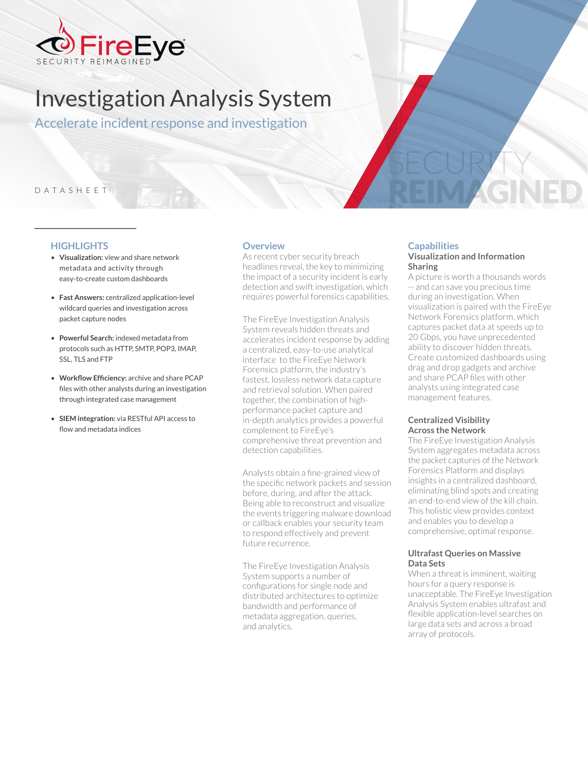

# Investigation Analysis System

Accelerate incident response and investigation

# DATASHEET

#### **HIGHLIGHTS**

- **Visualization:** view and share network metadata and activity through easy-to-create custom dashboards
- **Fast Answers:** centralized application-level wildcard queries and investigation across packet capture nodes
- **Powerful Search:** indexed metadata from protocols such as HTTP, SMTP, POP3, IMAP, SSL, TLS and FTP
- **Workflow Efficiency:** archive and share PCAP files with other analysts during an investigation through integrated case management
- **SIEM integration:** via RESTful API access to flow and metadata indices

#### **Overview**

As recent cyber security breach headlines reveal, the key to minimizing the impact of a security incident is early detection and swift investigation, which requires powerful forensics capabilities.

The FireEye Investigation Analysis System reveals hidden threats and accelerates incident response by adding a centralized, easy-to-use analytical interface to the FireEye Network Forensics platform, the industry's fastest, lossless network data capture and retrieval solution. When paired together, the combination of highperformance packet capture and in-depth analytics provides a powerful complement to FireEye's comprehensive threat prevention and detection capabilities.

Analysts obtain a fine-grained view of the specific network packets and session before, during, and after the attack. Being able to reconstruct and visualize the events triggering malware download or callback enables your security team to respond effectively and prevent future recurrence.

The FireEye Investigation Analysis System supports a number of configurations for single node and distributed architectures to optimize bandwidth and performance of metadata aggregation, queries, and analytics.

# **Capabilities**

#### **Visualization and Information Sharing**

SECURITY

REIM AGNED

A picture is worth a thousands words -- and can save you precious time during an investigation. When visualization is paired with the FireEye Network Forensics platform, which captures packet data at speeds up to 20 Gbps, you have unprecedented ability to discover hidden threats. Create customized dashboards using drag and drop gadgets and archive and share PCAP files with other analysts using integrated case management features.

#### **Centralized Visibility Across the Network**

The FireEye Investigation Analysis System aggregates metadata across the packet captures of the Network Forensics Platform and displays insights in a centralized dashboard, eliminating blind spots and creating an end-to-end view of the kill chain. This holistic view provides context and enables you to develop a comprehensive, optimal response.

#### **Ultrafast Queries on Massive Data Sets**

When a threat is imminent, waiting hours for a query response is unacceptable. The FireEye Investigation Analysis System enables ultrafast and flexible application-level searches on large data sets and across a broad array of protocols.